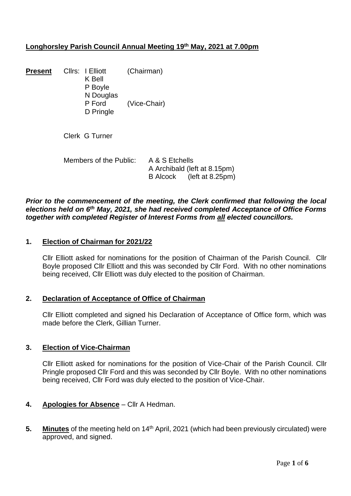# **Longhorsley Parish Council Annual Meeting 19th May, 2021 at 7.00pm**

| Present | Cllrs: I Elliott<br>K Bell | (Chairman)   |
|---------|----------------------------|--------------|
|         | P Boyle                    |              |
|         | N Douglas                  |              |
|         | P Ford                     | (Vice-Chair) |
|         | D Pringle                  |              |

Clerk G Turner

| Members of the Public: | A & S Etchells               |                           |
|------------------------|------------------------------|---------------------------|
|                        | A Archibald (left at 8.15pm) |                           |
|                        |                              | B Alcock (left at 8.25pm) |

# *Prior to the commencement of the meeting, the Clerk confirmed that following the local elections held on 6th May, 2021, she had received completed Acceptance of Office Forms together with completed Register of Interest Forms from all elected councillors.*

### **1. Election of Chairman for 2021/22**

Cllr Elliott asked for nominations for the position of Chairman of the Parish Council. Cllr Boyle proposed Cllr Elliott and this was seconded by Cllr Ford. With no other nominations being received, Cllr Elliott was duly elected to the position of Chairman.

### **2. Declaration of Acceptance of Office of Chairman**

Cllr Elliott completed and signed his Declaration of Acceptance of Office form, which was made before the Clerk, Gillian Turner.

### **3. Election of Vice-Chairman**

Cllr Elliott asked for nominations for the position of Vice-Chair of the Parish Council. Cllr Pringle proposed Cllr Ford and this was seconded by Cllr Boyle. With no other nominations being received, Cllr Ford was duly elected to the position of Vice-Chair.

# **4. Apologies for Absence** – Cllr A Hedman.

**5. Minutes** of the meeting held on 14<sup>th</sup> April, 2021 (which had been previously circulated) were approved, and signed.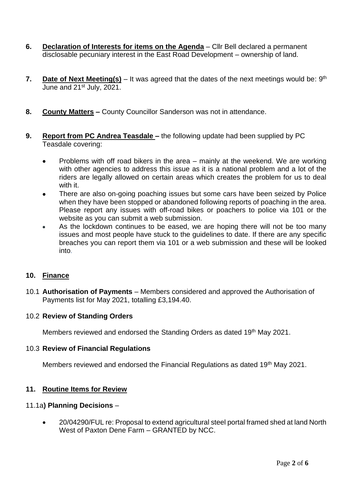- **6. Declaration of Interests for items on the Agenda** Cllr Bell declared a permanent disclosable pecuniary interest in the East Road Development – ownership of land.
- 7. Date of Next Meeting(s) It was agreed that the dates of the next meetings would be: 9<sup>th</sup> June and 21<sup>st</sup> July, 2021.
- **8. County Matters –** County Councillor Sanderson was not in attendance.
- **9. Report from PC Andrea Teasdale –** the following update had been supplied by PC Teasdale covering:
	- Problems with off road bikers in the area mainly at the weekend. We are working with other agencies to address this issue as it is a national problem and a lot of the riders are legally allowed on certain areas which creates the problem for us to deal with it.
	- There are also on-going poaching issues but some cars have been seized by Police when they have been stopped or abandoned following reports of poaching in the area. Please report any issues with off-road bikes or poachers to police via 101 or the website as you can submit a web submission.
	- As the lockdown continues to be eased, we are hoping there will not be too many issues and most people have stuck to the guidelines to date. If there are any specific breaches you can report them via 101 or a web submission and these will be looked into.

# **10. Finance**

10.1 **Authorisation of Payments** – Members considered and approved the Authorisation of Payments list for May 2021, totalling £3,194.40.

# 10.2 **Review of Standing Orders**

Members reviewed and endorsed the Standing Orders as dated 19<sup>th</sup> May 2021.

# 10.3 **Review of Financial Regulations**

Members reviewed and endorsed the Financial Regulations as dated 19<sup>th</sup> May 2021.

# **11. Routine Items for Review**

### 11.1a**) Planning Decisions** –

• 20/04290/FUL re: Proposal to extend agricultural steel portal framed shed at land North West of Paxton Dene Farm – GRANTED by NCC.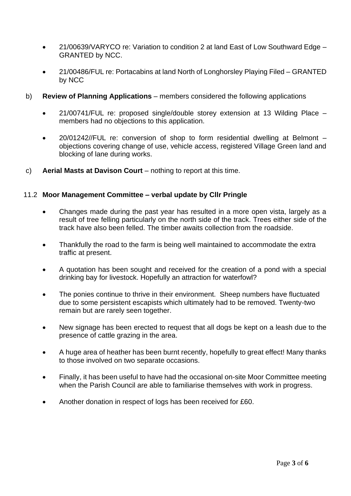- 21/00639/VARYCO re: Variation to condition 2 at land East of Low Southward Edge GRANTED by NCC.
- 21/00486/FUL re: Portacabins at land North of Longhorsley Playing Filed GRANTED by NCC
- b) **Review of Planning Applications** members considered the following applications
	- 21/00741/FUL re: proposed single/double storey extension at 13 Wilding Place members had no objections to this application.
	- 20/01242//FUL re: conversion of shop to form residential dwelling at Belmont objections covering change of use, vehicle access, registered Village Green land and blocking of lane during works.
- c) **Aerial Masts at Davison Court** nothing to report at this time.

### 11.2 **Moor Management Committee – verbal update by Cllr Pringle**

- Changes made during the past year has resulted in a more open vista, largely as a result of tree felling particularly on the north side of the track. Trees either side of the track have also been felled. The timber awaits collection from the roadside.
- Thankfully the road to the farm is being well maintained to accommodate the extra traffic at present.
- A quotation has been sought and received for the creation of a pond with a special drinking bay for livestock. Hopefully an attraction for waterfowl?
- The ponies continue to thrive in their environment. Sheep numbers have fluctuated due to some persistent escapists which ultimately had to be removed. Twenty-two remain but are rarely seen together.
- New signage has been erected to request that all dogs be kept on a leash due to the presence of cattle grazing in the area.
- A huge area of heather has been burnt recently, hopefully to great effect! Many thanks to those involved on two separate occasions.
- Finally, it has been useful to have had the occasional on-site Moor Committee meeting when the Parish Council are able to familiarise themselves with work in progress.
- Another donation in respect of logs has been received for £60.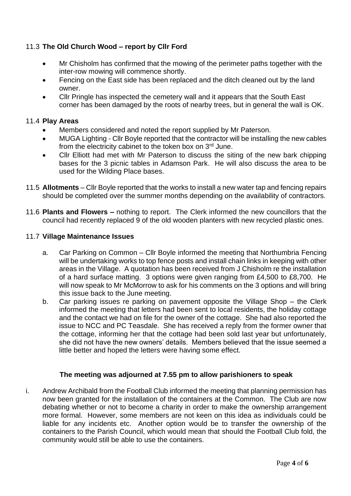# 11.3 **The Old Church Wood – report by Cllr Ford**

- Mr Chisholm has confirmed that the mowing of the perimeter paths together with the inter-row mowing will commence shortly.
- Fencing on the East side has been replaced and the ditch cleaned out by the land owner.
- Cllr Pringle has inspected the cemetery wall and it appears that the South East corner has been damaged by the roots of nearby trees, but in general the wall is OK.

# 11.4 **Play Areas**

- Members considered and noted the report supplied by Mr Paterson.
- MUGA Lighting Cllr Boyle reported that the contractor will be installing the new cables from the electricity cabinet to the token box on 3rd June.
- Cllr Elliott had met with Mr Paterson to discuss the siting of the new bark chipping bases for the 3 picnic tables in Adamson Park. He will also discuss the area to be used for the Wilding Place bases.
- 11.5 **Allotments**  Cllr Boyle reported that the works to install a new water tap and fencing repairs should be completed over the summer months depending on the availability of contractors.
- 11.6 **Plants and Flowers –** nothing to report. The Clerk informed the new councillors that the council had recently replaced 9 of the old wooden planters with new recycled plastic ones.

# 11.7 **Village Maintenance Issues**

- a. Car Parking on Common Cllr Boyle informed the meeting that Northumbria Fencing will be undertaking works to top fence posts and install chain links in keeping with other areas in the Village. A quotation has been received from J Chisholm re the installation of a hard surface matting. 3 options were given ranging from £4,500 to £8,700. He will now speak to Mr McMorrow to ask for his comments on the 3 options and will bring this issue back to the June meeting.
- b. Car parking issues re parking on pavement opposite the Village Shop the Clerk informed the meeting that letters had been sent to local residents, the holiday cottage and the contact we had on file for the owner of the cottage. She had also reported the issue to NCC and PC Teasdale. She has received a reply from the former owner that the cottage, informing her that the cottage had been sold last year but unfortunately, she did not have the new owners' details. Members believed that the issue seemed a little better and hoped the letters were having some effect.

# **The meeting was adjourned at 7.55 pm to allow parishioners to speak**

i. Andrew Archibald from the Football Club informed the meeting that planning permission has now been granted for the installation of the containers at the Common. The Club are now debating whether or not to become a charity in order to make the ownership arrangement more formal. However, some members are not keen on this idea as individuals could be liable for any incidents etc. Another option would be to transfer the ownership of the containers to the Parish Council, which would mean that should the Football Club fold, the community would still be able to use the containers.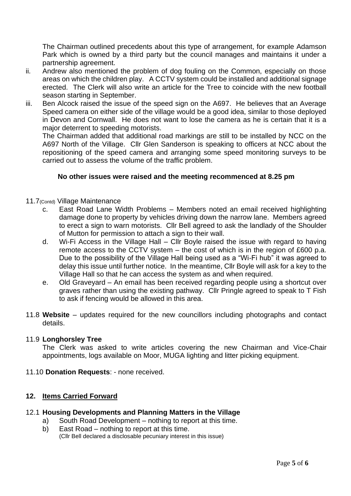The Chairman outlined precedents about this type of arrangement, for example Adamson Park which is owned by a third party but the council manages and maintains it under a partnership agreement.

- ii. Andrew also mentioned the problem of dog fouling on the Common, especially on those areas on which the children play. A CCTV system could be installed and additional signage erected. The Clerk will also write an article for the Tree to coincide with the new football season starting in September.
- iii. Ben Alcock raised the issue of the speed sign on the A697. He believes that an Average Speed camera on either side of the village would be a good idea, similar to those deployed in Devon and Cornwall. He does not want to lose the camera as he is certain that it is a major deterrent to speeding motorists.

The Chairman added that additional road markings are still to be installed by NCC on the A697 North of the Village. Cllr Glen Sanderson is speaking to officers at NCC about the repositioning of the speed camera and arranging some speed monitoring surveys to be carried out to assess the volume of the traffic problem.

# **No other issues were raised and the meeting recommenced at 8.25 pm**

### 11.7(Contd) Village Maintenance

- c. East Road Lane Width Problems Members noted an email received highlighting damage done to property by vehicles driving down the narrow lane. Members agreed to erect a sign to warn motorists. Cllr Bell agreed to ask the landlady of the Shoulder of Mutton for permission to attach a sign to their wall.
- d. Wi-Fi Access in the Village Hall Cllr Boyle raised the issue with regard to having remote access to the CCTV system – the cost of which is in the region of £600 p.a. Due to the possibility of the Village Hall being used as a "Wi-Fi hub" it was agreed to delay this issue until further notice. In the meantime, Cllr Boyle will ask for a key to the Village Hall so that he can access the system as and when required.
- e. Old Graveyard An email has been received regarding people using a shortcut over graves rather than using the existing pathway. Cllr Pringle agreed to speak to T Fish to ask if fencing would be allowed in this area.
- 11.8 **Website** updates required for the new councillors including photographs and contact details.

# 11.9 **Longhorsley Tree**

The Clerk was asked to write articles covering the new Chairman and Vice-Chair appointments, logs available on Moor, MUGA lighting and litter picking equipment.

11.10 **Donation Requests**: - none received.

# **12. Items Carried Forward**

- 12.1 **Housing Developments and Planning Matters in the Village**
	- a) South Road Development nothing to report at this time.
		- b) East Road nothing to report at this time. (Cllr Bell declared a disclosable pecuniary interest in this issue)